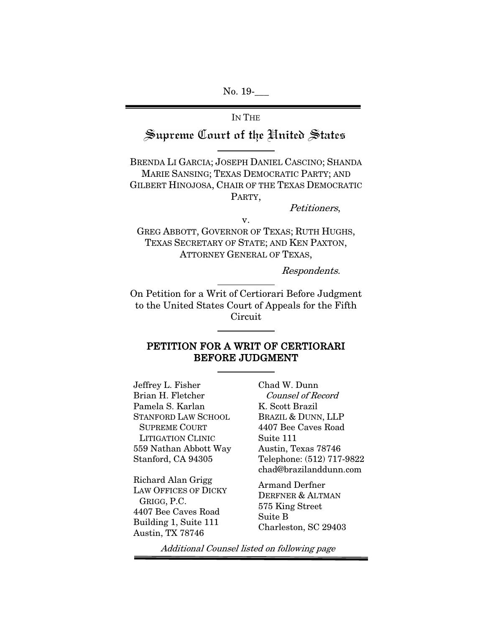No. 19-

# IN THE Supreme Court of the United States

BRENDA LI GARCIA; JOSEPH DANIEL CASCINO; SHANDA MARIE SANSING; TEXAS DEMOCRATIC PARTY; AND GILBERT HINOJOSA, CHAIR OF THE TEXAS DEMOCRATIC PARTY,

Petitioners,

v. GREG ABBOTT, GOVERNOR OF TEXAS; RUTH HUGHS, TEXAS SECRETARY OF STATE; AND KEN PAXTON,

ATTORNEY GENERAL OF TEXAS,

Respondents.

On Petition for a Writ of Certiorari Before Judgment to the United States Court of Appeals for the Fifth Circuit

### PETITION FOR A WRIT OF CERTIORARI BEFORE JUDGMENT

Jeffrey L. Fisher Brian H. Fletcher Pamela S. Karlan STANFORD LAW SCHOOL SUPREME COURT LITIGATION CLINIC 559 Nathan Abbott Way Stanford, CA 94305

Richard Alan Grigg LAW OFFICES OF DICKY GRIGG, P.C. 4407 Bee Caves Road Building 1, Suite 111 Austin, TX 78746

Chad W. Dunn Counsel of Record K. Scott Brazil BRAZIL & DUNN, LLP 4407 Bee Caves Road Suite 111 Austin, Texas 78746 Telephone: (512) 717-9822 chad@brazilanddunn.com

Armand Derfner DERFNER & ALTMAN 575 King Street Suite B Charleston, SC 29403

Additional Counsel listed on following page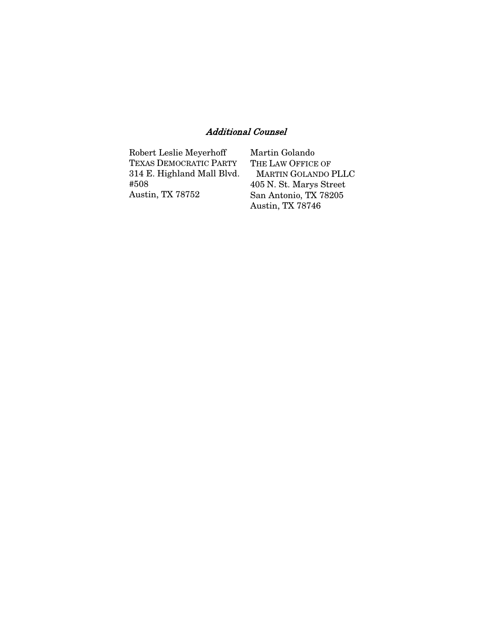## Additional Counsel

| Robert Leslie Meyerhoff       | Martin Golando             |
|-------------------------------|----------------------------|
| <b>TEXAS DEMOCRATIC PARTY</b> | THE LAW OFFICE OF          |
| 314 E. Highland Mall Blvd.    | <b>MARTIN GOLANDO PLLC</b> |
| #508                          | 405 N. St. Marys Street    |
| Austin, TX 78752              | San Antonio, TX 78205      |
|                               | Austin, TX 78746           |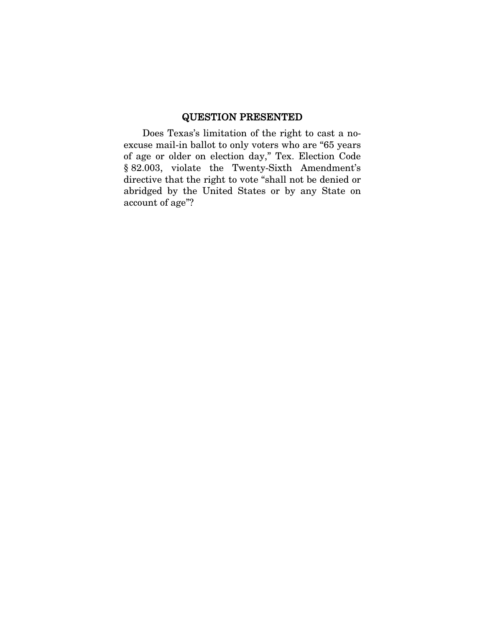## QUESTION PRESENTED

Does Texas's limitation of the right to cast a noexcuse mail-in ballot to only voters who are "65 years of age or older on election day," Tex. Election Code § 82.003, violate the Twenty-Sixth Amendment's directive that the right to vote "shall not be denied or abridged by the United States or by any State on account of age"?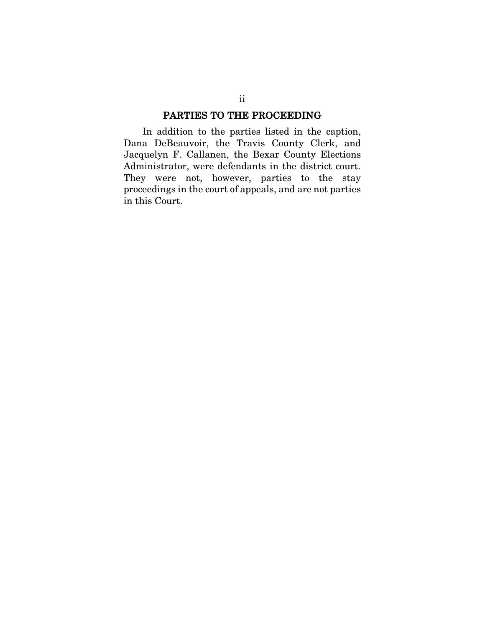## PARTIES TO THE PROCEEDING

In addition to the parties listed in the caption, Dana DeBeauvoir, the Travis County Clerk, and Jacquelyn F. Callanen, the Bexar County Elections Administrator, were defendants in the district court. They were not, however, parties to the stay proceedings in the court of appeals, and are not parties in this Court.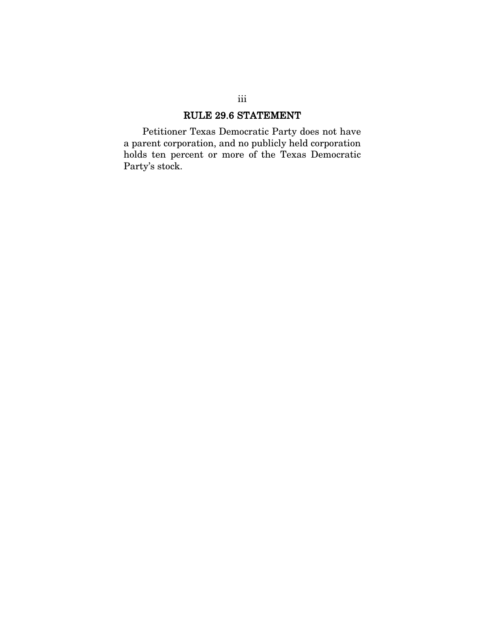# RULE 29.6 STATEMENT

Petitioner Texas Democratic Party does not have a parent corporation, and no publicly held corporation holds ten percent or more of the Texas Democratic Party's stock.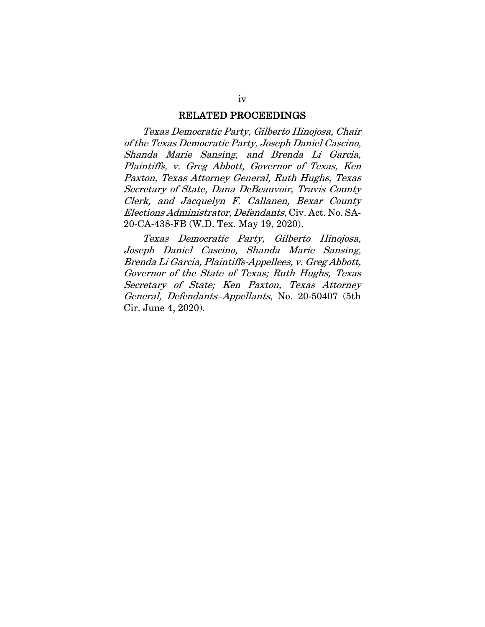#### RELATED PROCEEDINGS

Texas Democratic Party, Gilberto Hinojosa, Chair of the Texas Democratic Party, Joseph Daniel Cascino, Shanda Marie Sansing, and Brenda Li Garcia, Plaintiffs, v. Greg Abbott, Governor of Texas, Ken Paxton, Texas Attorney General, Ruth Hughs, Texas Secretary of State, Dana DeBeauvoir, Travis County Clerk, and Jacquelyn F. Callanen, Bexar County Elections Administrator, Defendants, Civ. Act. No. SA-20-CA-438-FB (W.D. Tex. May 19, 2020).

Texas Democratic Party, Gilberto Hinojosa, Joseph Daniel Cascino, Shanda Marie Sansing, Brenda Li Garcia, Plaintiffs-Appellees, v. Greg Abbott, Governor of the State of Texas; Ruth Hughs, Texas Secretary of State; Ken Paxton, Texas Attorney General, Defendants–Appellants, No. 20-50407 (5th Cir. June 4, 2020).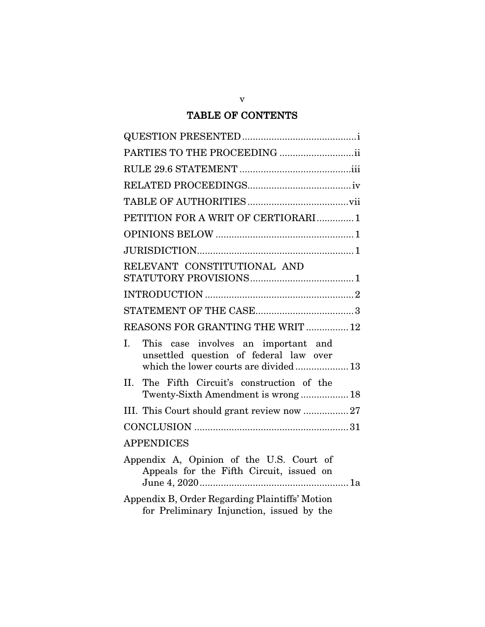# TABLE OF CONTENTS

| PARTIES TO THE PROCEEDING ii                                                                                                             |
|------------------------------------------------------------------------------------------------------------------------------------------|
|                                                                                                                                          |
|                                                                                                                                          |
|                                                                                                                                          |
| PETITION FOR A WRIT OF CERTIORARI1                                                                                                       |
|                                                                                                                                          |
|                                                                                                                                          |
| RELEVANT CONSTITUTIONAL AND                                                                                                              |
|                                                                                                                                          |
|                                                                                                                                          |
| REASONS FOR GRANTING THE WRIT  12                                                                                                        |
| $\mathbf{I}$ .<br>This case involves an important and<br>unsettled question of federal law over<br>which the lower courts are divided 13 |
| The Fifth Circuit's construction of the<br>II.<br>Twenty-Sixth Amendment is wrong 18                                                     |
| III. This Court should grant review now 27                                                                                               |
|                                                                                                                                          |
| <b>APPENDICES</b>                                                                                                                        |
| Appendix A, Opinion of the U.S. Court of<br>Appeals for the Fifth Circuit, issued on                                                     |
| Appendix B, Order Regarding Plaintiffs' Motion<br>for Preliminary Injunction, issued by the                                              |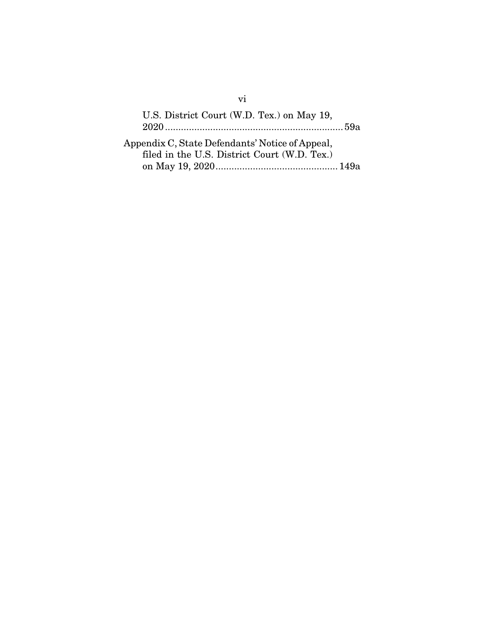| U.S. District Court (W.D. Tex.) on May 19,                                                      |  |
|-------------------------------------------------------------------------------------------------|--|
| Appendix C, State Defendants' Notice of Appeal,<br>filed in the U.S. District Court (W.D. Tex.) |  |
|                                                                                                 |  |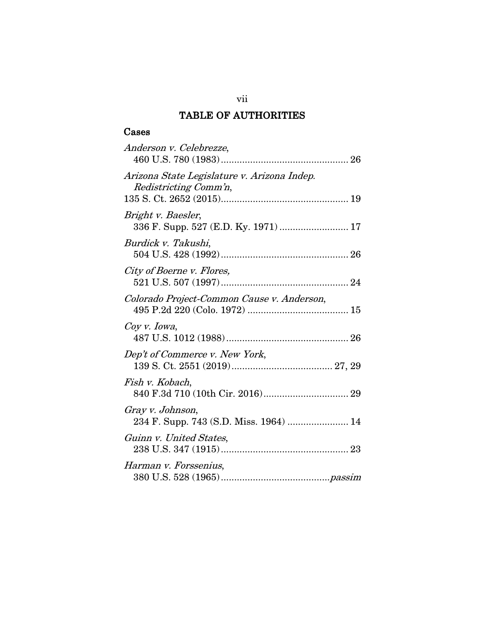## TABLE OF AUTHORITIES

## Cases

| Anderson v. Celebrezze,                                              |
|----------------------------------------------------------------------|
| Arizona State Legislature v. Arizona Indep.<br>Redistricting Comm'n, |
| Bright v. Baesler,<br>336 F. Supp. 527 (E.D. Ky. 1971)  17           |
| Burdick v. Takushi,                                                  |
| City of Boerne v. Flores,                                            |
| Colorado Project-Common Cause v. Anderson,                           |
| Coy v. Iowa,                                                         |
| Dep't of Commerce v. New York,                                       |
| Fish v. Kobach,                                                      |
| Gray v. Johnson,<br>234 F. Supp. 743 (S.D. Miss. 1964)  14           |
| Guinn v. United States,                                              |
| Harman v. Forssenius,                                                |

vii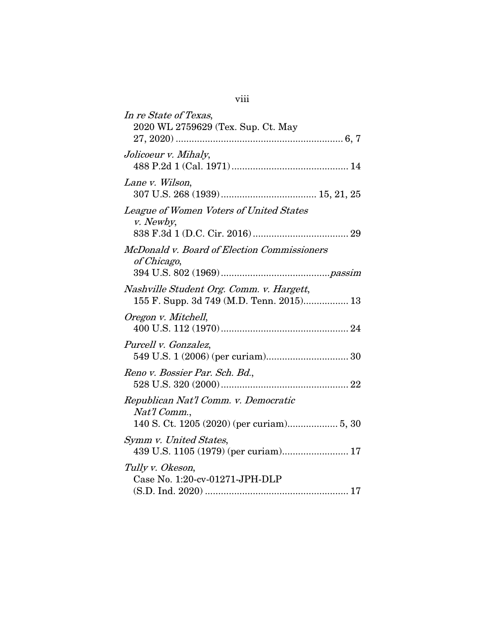| In re State of Texas,<br>2020 WL 2759629 (Tex. Sup. Ct. May                                       |
|---------------------------------------------------------------------------------------------------|
| Jolicoeur v. Mihaly,                                                                              |
| Lane v. Wilson,                                                                                   |
| League of Women Voters of United States<br>v. Newby,                                              |
| McDonald v. Board of Election Commissioners<br>of Chicago,                                        |
| Nashville Student Org. Comm. v. Hargett,<br>155 F. Supp. 3d 749 (M.D. Tenn. 2015) 13              |
| Oregon v. Mitchell,                                                                               |
| Purcell v. Gonzalez,                                                                              |
| Reno v. Bossier Par. Sch. Bd.,                                                                    |
| Republican Nat'l Comm. v. Democratic<br>Nat'l Comm.,<br>140 S. Ct. 1205 (2020) (per curiam) 5, 30 |
| Symm v. United States,<br>439 U.S. 1105 (1979) (per curiam) 17                                    |
| Tully v. Okeson,<br>Case No. 1:20-cv-01271-JPH-DLP                                                |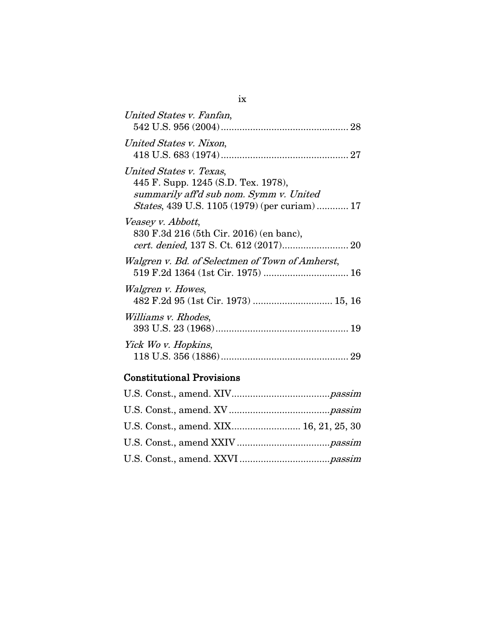| United States v. Fanfan,                                                                                                                                          |
|-------------------------------------------------------------------------------------------------------------------------------------------------------------------|
| United States v. Nixon,                                                                                                                                           |
| United States v. Texas,<br>445 F. Supp. 1245 (S.D. Tex. 1978),<br>summarily aff'd sub nom. Symm v. United<br><i>States</i> , 439 U.S. 1105 (1979) (per curiam) 17 |
| Veasey v. Abbott,<br>830 F.3d 216 (5th Cir. 2016) (en banc),                                                                                                      |
| Walgren v. Bd. of Selectmen of Town of Amherst,<br>519 F.2d 1364 (1st Cir. 1975)  16                                                                              |
| Walgren v. Howes,                                                                                                                                                 |
| <i>Williams v. Rhodes</i> ,                                                                                                                                       |
| Yick Wo v. Hopkins,                                                                                                                                               |

# Constitutional Provisions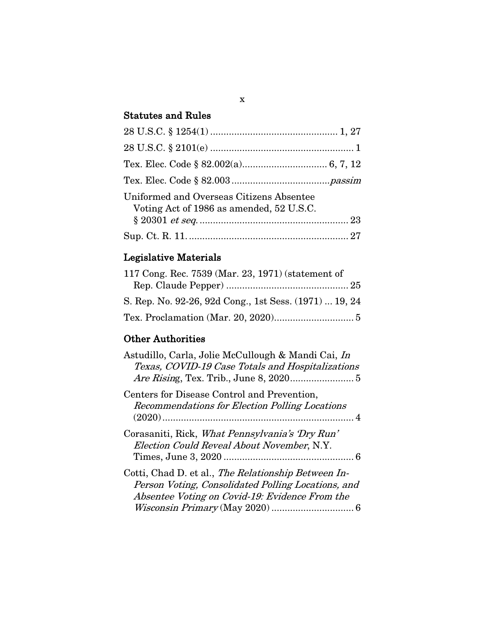# Statutes and Rules

| Uniformed and Overseas Citizens Absentee<br>Voting Act of 1986 as amended, 52 U.S.C. |  |
|--------------------------------------------------------------------------------------|--|
|                                                                                      |  |
|                                                                                      |  |

# Legislative Materials

| 117 Cong. Rec. 7539 (Mar. 23, 1971) (statement of      |  |
|--------------------------------------------------------|--|
|                                                        |  |
| S. Rep. No. 92-26, 92d Cong., 1st Sess. (1971)  19, 24 |  |
|                                                        |  |

# Other Authorities

| Astudillo, Carla, Jolie McCullough & Mandi Cai, In<br>Texas, COVID-19 Case Totals and Hospitalizations                                                      |
|-------------------------------------------------------------------------------------------------------------------------------------------------------------|
| Centers for Disease Control and Prevention,<br>Recommendations for Election Polling Locations                                                               |
| Corasaniti, Rick, What Pennsylvania's 'Dry Run'<br>Election Could Reveal About November, N.Y.                                                               |
| Cotti, Chad D. et al., The Relationship Between In-<br>Person Voting, Consolidated Polling Locations, and<br>Absentee Voting on Covid-19: Evidence From the |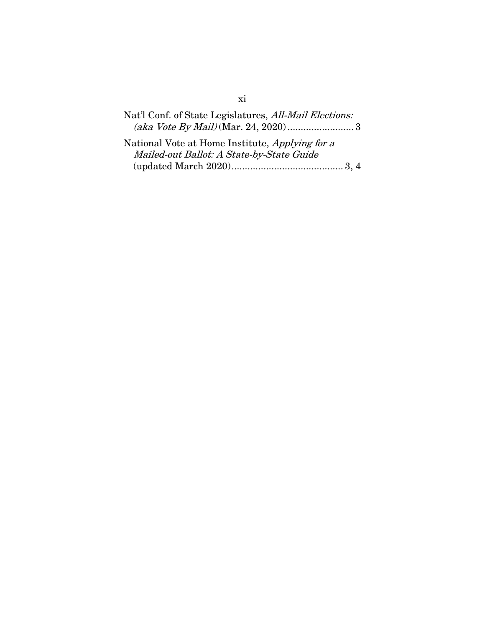| Nat'l Conf. of State Legislatures, All-Mail Elections: |  |
|--------------------------------------------------------|--|
|                                                        |  |

| National Vote at Home Institute, Applying for a |  |
|-------------------------------------------------|--|
| Mailed-out Ballot: A State-by-State Guide       |  |
|                                                 |  |

xi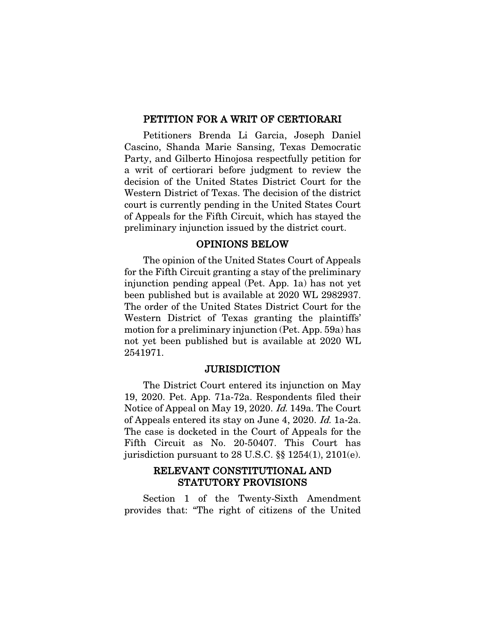#### PETITION FOR A WRIT OF CERTIORARI

Petitioners Brenda Li Garcia, Joseph Daniel Cascino, Shanda Marie Sansing, Texas Democratic Party, and Gilberto Hinojosa respectfully petition for a writ of certiorari before judgment to review the decision of the United States District Court for the Western District of Texas. The decision of the district court is currently pending in the United States Court of Appeals for the Fifth Circuit, which has stayed the preliminary injunction issued by the district court.

### OPINIONS BELOW

The opinion of the United States Court of Appeals for the Fifth Circuit granting a stay of the preliminary injunction pending appeal (Pet. App. 1a) has not yet been published but is available at 2020 WL 2982937. The order of the United States District Court for the Western District of Texas granting the plaintiffs' motion for a preliminary injunction (Pet. App. 59a) has not yet been published but is available at 2020 WL 2541971.

#### **JURISDICTION**

The District Court entered its injunction on May 19, 2020. Pet. App. 71a-72a. Respondents filed their Notice of Appeal on May 19, 2020. Id. 149a. The Court of Appeals entered its stay on June 4, 2020. Id. 1a-2a. The case is docketed in the Court of Appeals for the Fifth Circuit as No. 20-50407. This Court has jurisdiction pursuant to 28 U.S.C. §§ 1254(1), 2101(e).

### RELEVANT CONSTITUTIONAL AND STATUTORY PROVISIONS

Section 1 of the Twenty-Sixth Amendment provides that: "The right of citizens of the United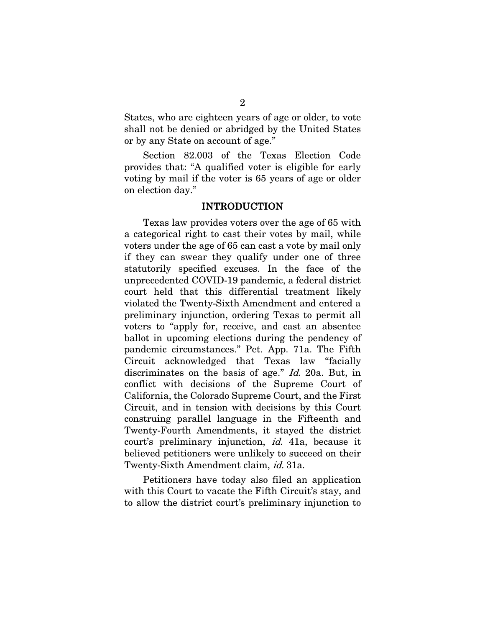States, who are eighteen years of age or older, to vote shall not be denied or abridged by the United States or by any State on account of age."

Section 82.003 of the Texas Election Code provides that: "A qualified voter is eligible for early voting by mail if the voter is 65 years of age or older on election day."

#### INTRODUCTION

Texas law provides voters over the age of 65 with a categorical right to cast their votes by mail, while voters under the age of 65 can cast a vote by mail only if they can swear they qualify under one of three statutorily specified excuses. In the face of the unprecedented COVID-19 pandemic, a federal district court held that this differential treatment likely violated the Twenty-Sixth Amendment and entered a preliminary injunction, ordering Texas to permit all voters to "apply for, receive, and cast an absentee ballot in upcoming elections during the pendency of pandemic circumstances." Pet. App. 71a. The Fifth Circuit acknowledged that Texas law "facially discriminates on the basis of age." *Id.* 20a. But, in conflict with decisions of the Supreme Court of California, the Colorado Supreme Court, and the First Circuit, and in tension with decisions by this Court construing parallel language in the Fifteenth and Twenty-Fourth Amendments, it stayed the district court's preliminary injunction, id. 41a, because it believed petitioners were unlikely to succeed on their Twenty-Sixth Amendment claim, *id.* 31a.

Petitioners have today also filed an application with this Court to vacate the Fifth Circuit's stay, and to allow the district court's preliminary injunction to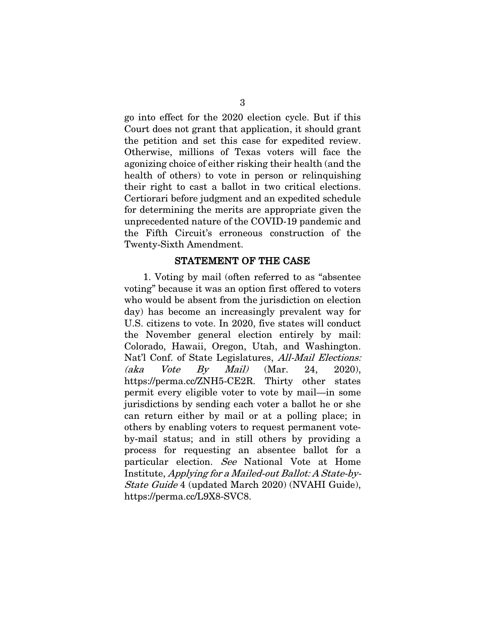go into effect for the 2020 election cycle. But if this Court does not grant that application, it should grant the petition and set this case for expedited review. Otherwise, millions of Texas voters will face the agonizing choice of either risking their health (and the health of others) to vote in person or relinquishing their right to cast a ballot in two critical elections. Certiorari before judgment and an expedited schedule for determining the merits are appropriate given the unprecedented nature of the COVID-19 pandemic and the Fifth Circuit's erroneous construction of the Twenty-Sixth Amendment.

#### STATEMENT OF THE CASE

1. Voting by mail (often referred to as "absentee voting" because it was an option first offered to voters who would be absent from the jurisdiction on election day) has become an increasingly prevalent way for U.S. citizens to vote. In 2020, five states will conduct the November general election entirely by mail: Colorado, Hawaii, Oregon, Utah, and Washington. Nat'l Conf. of State Legislatures, All-Mail Elections: (aka Vote By Mail) (Mar. 24, 2020), https://perma.cc/ZNH5-CE2R. Thirty other states permit every eligible voter to vote by mail—in some jurisdictions by sending each voter a ballot he or she can return either by mail or at a polling place; in others by enabling voters to request permanent voteby-mail status; and in still others by providing a process for requesting an absentee ballot for a particular election. See National Vote at Home Institute, Applying for a Mailed-out Ballot: A State-by-State Guide 4 (updated March 2020) (NVAHI Guide), https://perma.cc/L9X8-SVC8.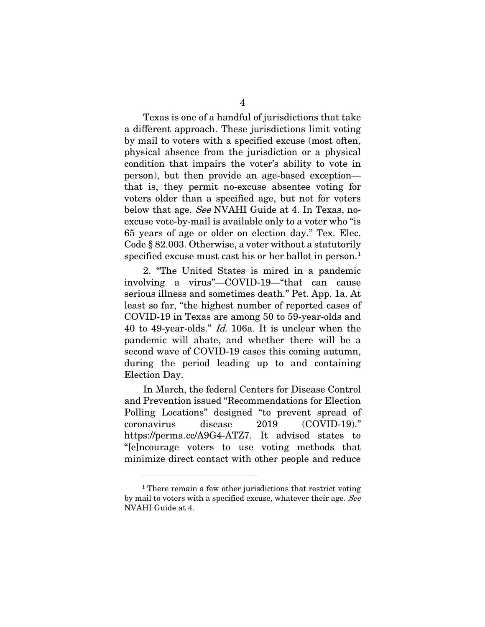Texas is one of a handful of jurisdictions that take a different approach. These jurisdictions limit voting by mail to voters with a specified excuse (most often, physical absence from the jurisdiction or a physical condition that impairs the voter's ability to vote in person), but then provide an age-based exception that is, they permit no-excuse absentee voting for voters older than a specified age, but not for voters below that age. See NVAHI Guide at 4. In Texas, noexcuse vote-by-mail is available only to a voter who "is 65 years of age or older on election day." Tex. Elec. Code § 82.003. Otherwise, a voter without a statutorily specified excuse must cast his or her ballot in person.<sup>[1](#page-16-0)</sup>

2. "The United States is mired in a pandemic involving a virus"—COVID-19—"that can cause serious illness and sometimes death." Pet. App. 1a. At least so far, "the highest number of reported cases of COVID-19 in Texas are among 50 to 59-year-olds and 40 to 49-year-olds." Id. 106a. It is unclear when the pandemic will abate, and whether there will be a second wave of COVID-19 cases this coming autumn, during the period leading up to and containing Election Day.

In March, the federal Centers for Disease Control and Prevention issued "Recommendations for Election Polling Locations" designed "to prevent spread of coronavirus disease 2019 (COVID-19)." https://perma.cc/A9G4-ATZ7. It advised states to "[e]ncourage voters to use voting methods that minimize direct contact with other people and reduce

<span id="page-16-0"></span><sup>&</sup>lt;sup>1</sup> There remain a few other jurisdictions that restrict voting by mail to voters with a specified excuse, whatever their age. See NVAHI Guide at 4.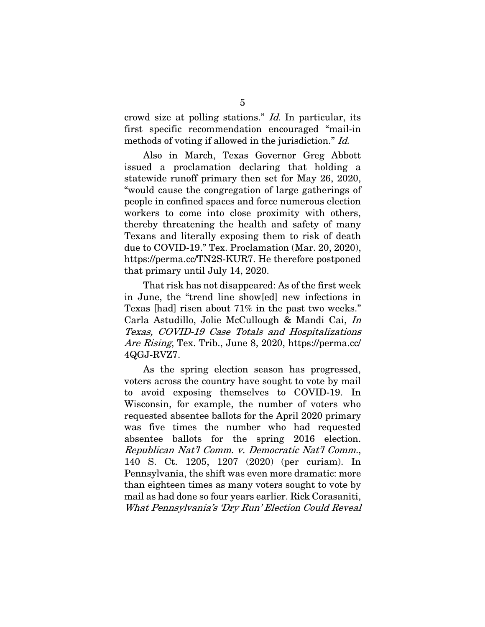crowd size at polling stations." Id. In particular, its first specific recommendation encouraged "mail-in methods of voting if allowed in the jurisdiction." *Id.* 

Also in March, Texas Governor Greg Abbott issued a proclamation declaring that holding a statewide runoff primary then set for May 26, 2020, "would cause the congregation of large gatherings of people in confined spaces and force numerous election workers to come into close proximity with others, thereby threatening the health and safety of many Texans and literally exposing them to risk of death due to COVID-19." Tex. Proclamation (Mar. 20, 2020), https://perma.cc/TN2S-KUR7. He therefore postponed that primary until July 14, 2020.

That risk has not disappeared: As of the first week in June, the "trend line show[ed] new infections in Texas [had] risen about 71% in the past two weeks." Carla Astudillo, Jolie McCullough & Mandi Cai, In Texas, COVID-19 Case Totals and Hospitalizations Are Rising, Tex. Trib., June 8, 2020, https://perma.cc/ 4QGJ-RVZ7.

As the spring election season has progressed, voters across the country have sought to vote by mail to avoid exposing themselves to COVID-19. In Wisconsin, for example, the number of voters who requested absentee ballots for the April 2020 primary was five times the number who had requested absentee ballots for the spring 2016 election. Republican Nat'l Comm. v. Democratic Nat'l Comm., 140 S. Ct. 1205, 1207 (2020) (per curiam). In Pennsylvania, the shift was even more dramatic: more than eighteen times as many voters sought to vote by mail as had done so four years earlier. Rick Corasaniti, What Pennsylvania's 'Dry Run' Election Could Reveal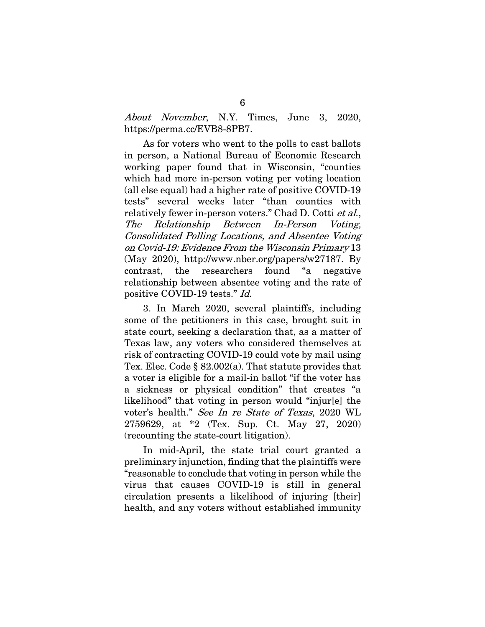About November, N.Y. Times, June 3, 2020, https://perma.cc/EVB8-8PB7.

As for voters who went to the polls to cast ballots in person, a National Bureau of Economic Research working paper found that in Wisconsin, "counties which had more in-person voting per voting location (all else equal) had a higher rate of positive COVID-19 tests" several weeks later "than counties with relatively fewer in-person voters." Chad D. Cotti et al., The Relationship Between In-Person Voting, Consolidated Polling Locations, and Absentee Voting on Covid-19: Evidence From the Wisconsin Primary 13 (May 2020), http://www.nber.org/papers/w27187. By contrast, the researchers found "a negative relationship between absentee voting and the rate of positive COVID-19 tests." Id.

3. In March 2020, several plaintiffs, including some of the petitioners in this case, brought suit in state court, seeking a declaration that, as a matter of Texas law, any voters who considered themselves at risk of contracting COVID-19 could vote by mail using Tex. Elec. Code § 82.002(a). That statute provides that a voter is eligible for a mail-in ballot "if the voter has a sickness or physical condition" that creates "a likelihood" that voting in person would "injur[e] the voter's health." See In re State of Texas, 2020 WL 2759629, at \*2 (Tex. Sup. Ct. May 27, 2020) (recounting the state-court litigation).

In mid-April, the state trial court granted a preliminary injunction, finding that the plaintiffs were "reasonable to conclude that voting in person while the virus that causes COVID-19 is still in general circulation presents a likelihood of injuring [their] health, and any voters without established immunity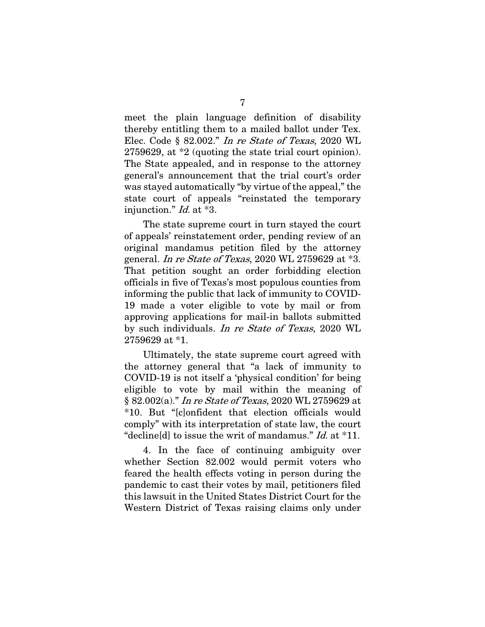meet the plain language definition of disability thereby entitling them to a mailed ballot under Tex. Elec. Code § 82.002." In re State of Texas, 2020 WL 2759629, at \*2 (quoting the state trial court opinion). The State appealed, and in response to the attorney general's announcement that the trial court's order was stayed automatically "by virtue of the appeal," the state court of appeals "reinstated the temporary injunction." Id. at \*3.

The state supreme court in turn stayed the court of appeals' reinstatement order, pending review of an original mandamus petition filed by the attorney general. In re State of Texas, 2020 WL 2759629 at \*3. That petition sought an order forbidding election officials in five of Texas's most populous counties from informing the public that lack of immunity to COVID-19 made a voter eligible to vote by mail or from approving applications for mail-in ballots submitted by such individuals. In re State of Texas, 2020 WL 2759629 at \*1.

Ultimately, the state supreme court agreed with the attorney general that "a lack of immunity to COVID-19 is not itself a 'physical condition' for being eligible to vote by mail within the meaning of § 82.002(a)." In re State of Texas, 2020 WL 2759629 at \*10. But "[c]onfident that election officials would comply" with its interpretation of state law, the court "decline[d] to issue the writ of mandamus."  $Id.$  at  $*11$ .

4. In the face of continuing ambiguity over whether Section 82.002 would permit voters who feared the health effects voting in person during the pandemic to cast their votes by mail, petitioners filed this lawsuit in the United States District Court for the Western District of Texas raising claims only under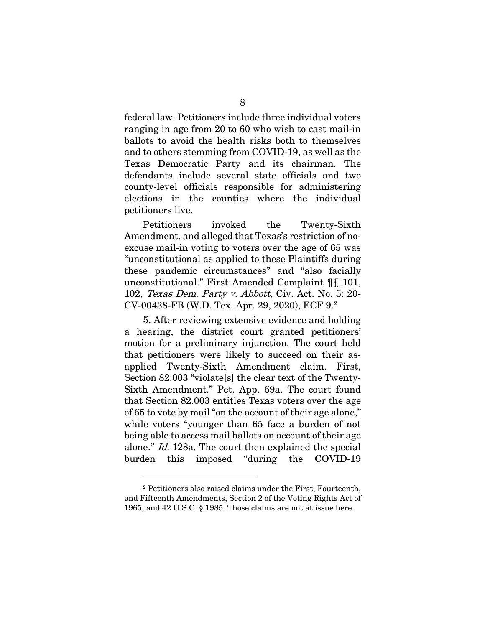federal law. Petitioners include three individual voters ranging in age from 20 to 60 who wish to cast mail-in ballots to avoid the health risks both to themselves and to others stemming from COVID-19, as well as the Texas Democratic Party and its chairman. The defendants include several state officials and two county-level officials responsible for administering elections in the counties where the individual petitioners live.

Petitioners invoked the Twenty-Sixth Amendment, and alleged that Texas's restriction of noexcuse mail-in voting to voters over the age of 65 was "unconstitutional as applied to these Plaintiffs during these pandemic circumstances" and "also facially unconstitutional." First Amended Complaint ¶¶ 101, 102, Texas Dem. Party v. Abbott, Civ. Act. No. 5: 20- CV-00438-FB (W.D. Tex. Apr. 29, 2020), ECF 9.[2](#page-20-0)

5. After reviewing extensive evidence and holding a hearing, the district court granted petitioners' motion for a preliminary injunction. The court held that petitioners were likely to succeed on their asapplied Twenty-Sixth Amendment claim. First, Section 82.003 "violate[s] the clear text of the Twenty-Sixth Amendment." Pet. App. 69a. The court found that Section 82.003 entitles Texas voters over the age of 65 to vote by mail "on the account of their age alone," while voters "younger than 65 face a burden of not being able to access mail ballots on account of their age alone." Id. 128a. The court then explained the special burden this imposed "during the COVID-19

<span id="page-20-0"></span><sup>2</sup> Petitioners also raised claims under the First, Fourteenth, and Fifteenth Amendments, Section 2 of the Voting Rights Act of 1965, and 42 U.S.C. § 1985. Those claims are not at issue here.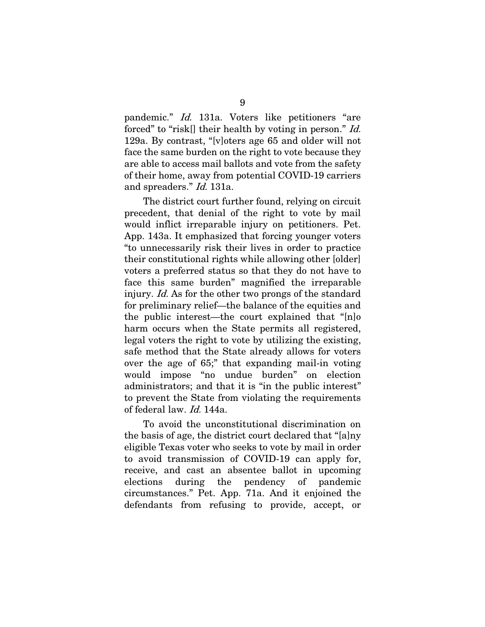pandemic." Id. 131a. Voters like petitioners "are forced" to "risk<sup>[]</sup> their health by voting in person." *Id.* 129a. By contrast, "[v]oters age 65 and older will not face the same burden on the right to vote because they are able to access mail ballots and vote from the safety of their home, away from potential COVID-19 carriers and spreaders." Id. 131a.

The district court further found, relying on circuit precedent, that denial of the right to vote by mail would inflict irreparable injury on petitioners. Pet. App. 143a. It emphasized that forcing younger voters "to unnecessarily risk their lives in order to practice their constitutional rights while allowing other [older] voters a preferred status so that they do not have to face this same burden" magnified the irreparable injury. Id. As for the other two prongs of the standard for preliminary relief—the balance of the equities and the public interest—the court explained that "[n]o harm occurs when the State permits all registered, legal voters the right to vote by utilizing the existing, safe method that the State already allows for voters over the age of 65;" that expanding mail-in voting would impose "no undue burden" on election administrators; and that it is "in the public interest" to prevent the State from violating the requirements of federal law. Id. 144a.

To avoid the unconstitutional discrimination on the basis of age, the district court declared that "[a]ny eligible Texas voter who seeks to vote by mail in order to avoid transmission of COVID-19 can apply for, receive, and cast an absentee ballot in upcoming elections during the pendency of pandemic circumstances." Pet. App. 71a. And it enjoined the defendants from refusing to provide, accept, or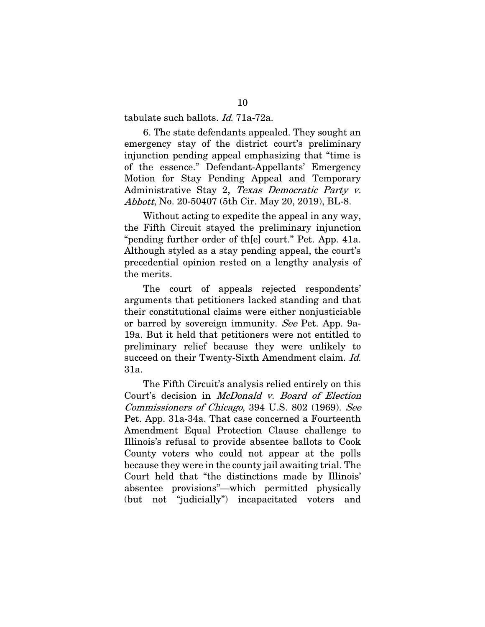tabulate such ballots. Id. 71a-72a.

6. The state defendants appealed. They sought an emergency stay of the district court's preliminary injunction pending appeal emphasizing that "time is of the essence." Defendant-Appellants' Emergency Motion for Stay Pending Appeal and Temporary Administrative Stay 2, Texas Democratic Party v. Abbott, No. 20-50407 (5th Cir. May 20, 2019), BL-8.

Without acting to expedite the appeal in any way, the Fifth Circuit stayed the preliminary injunction "pending further order of th[e] court." Pet. App. 41a. Although styled as a stay pending appeal, the court's precedential opinion rested on a lengthy analysis of the merits.

The court of appeals rejected respondents' arguments that petitioners lacked standing and that their constitutional claims were either nonjusticiable or barred by sovereign immunity. See Pet. App. 9a-19a. But it held that petitioners were not entitled to preliminary relief because they were unlikely to succeed on their Twenty-Sixth Amendment claim. Id. 31a.

The Fifth Circuit's analysis relied entirely on this Court's decision in McDonald v. Board of Election Commissioners of Chicago, 394 U.S. 802 (1969). See Pet. App. 31a-34a. That case concerned a Fourteenth Amendment Equal Protection Clause challenge to Illinois's refusal to provide absentee ballots to Cook County voters who could not appear at the polls because they were in the county jail awaiting trial. The Court held that "the distinctions made by Illinois' absentee provisions"—which permitted physically (but not "judicially") incapacitated voters and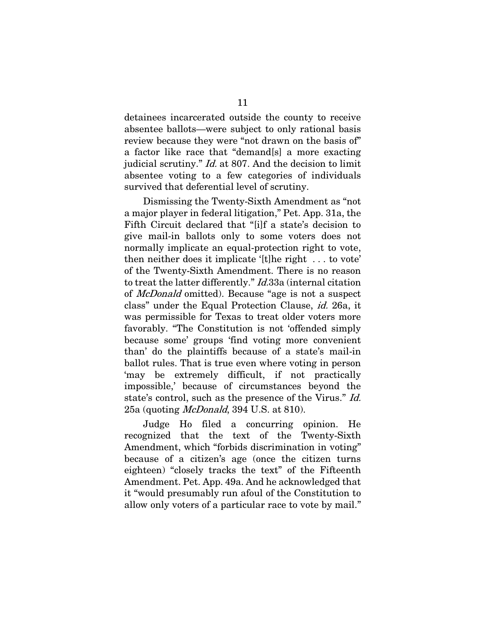detainees incarcerated outside the county to receive absentee ballots—were subject to only rational basis review because they were "not drawn on the basis of" a factor like race that "demand[s] a more exacting judicial scrutiny." Id. at 807. And the decision to limit absentee voting to a few categories of individuals survived that deferential level of scrutiny.

Dismissing the Twenty-Sixth Amendment as "not a major player in federal litigation," Pet. App. 31a, the Fifth Circuit declared that "[i]f a state's decision to give mail-in ballots only to some voters does not normally implicate an equal-protection right to vote, then neither does it implicate '[t]he right . . . to vote' of the Twenty-Sixth Amendment. There is no reason to treat the latter differently." *Id.*33a (internal citation of McDonald omitted). Because "age is not a suspect class" under the Equal Protection Clause, id. 26a, it was permissible for Texas to treat older voters more favorably. "The Constitution is not 'offended simply because some' groups 'find voting more convenient than' do the plaintiffs because of a state's mail-in ballot rules. That is true even where voting in person 'may be extremely difficult, if not practically impossible,' because of circumstances beyond the state's control, such as the presence of the Virus." Id. 25a (quoting *McDonald*, 394 U.S. at 810).

Judge Ho filed a concurring opinion. He recognized that the text of the Twenty-Sixth Amendment, which "forbids discrimination in voting" because of a citizen's age (once the citizen turns eighteen) "closely tracks the text" of the Fifteenth Amendment. Pet. App. 49a. And he acknowledged that it "would presumably run afoul of the Constitution to allow only voters of a particular race to vote by mail."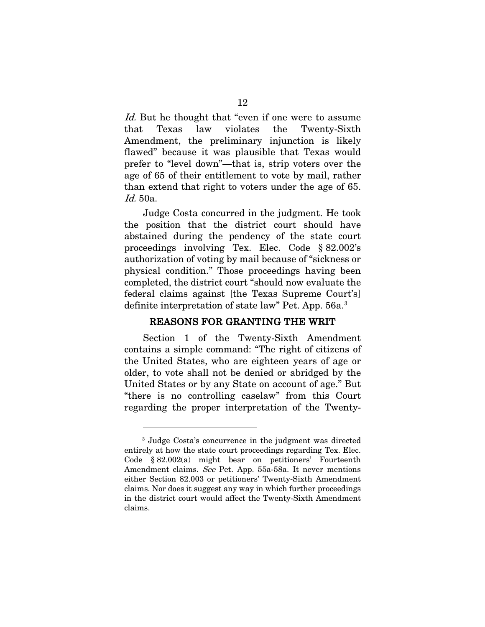Id. But he thought that "even if one were to assume that Texas law violates the Twenty-Sixth Amendment, the preliminary injunction is likely flawed" because it was plausible that Texas would prefer to "level down"—that is, strip voters over the age of 65 of their entitlement to vote by mail, rather than extend that right to voters under the age of 65. Id. 50a.

Judge Costa concurred in the judgment. He took the position that the district court should have abstained during the pendency of the state court proceedings involving Tex. Elec. Code § 82.002's authorization of voting by mail because of "sickness or physical condition." Those proceedings having been completed, the district court "should now evaluate the federal claims against [the Texas Supreme Court's] definite interpretation of state law" Pet. App. 56a. [3](#page-24-0)

#### REASONS FOR GRANTING THE WRIT

Section 1 of the Twenty-Sixth Amendment contains a simple command: "The right of citizens of the United States, who are eighteen years of age or older, to vote shall not be denied or abridged by the United States or by any State on account of age." But "there is no controlling caselaw" from this Court regarding the proper interpretation of the Twenty-

<span id="page-24-0"></span><sup>3</sup> Judge Costa's concurrence in the judgment was directed entirely at how the state court proceedings regarding Tex. Elec. Code § 82.002(a) might bear on petitioners' Fourteenth Amendment claims. See Pet. App. 55a-58a. It never mentions either Section 82.003 or petitioners' Twenty-Sixth Amendment claims. Nor does it suggest any way in which further proceedings in the district court would affect the Twenty-Sixth Amendment claims.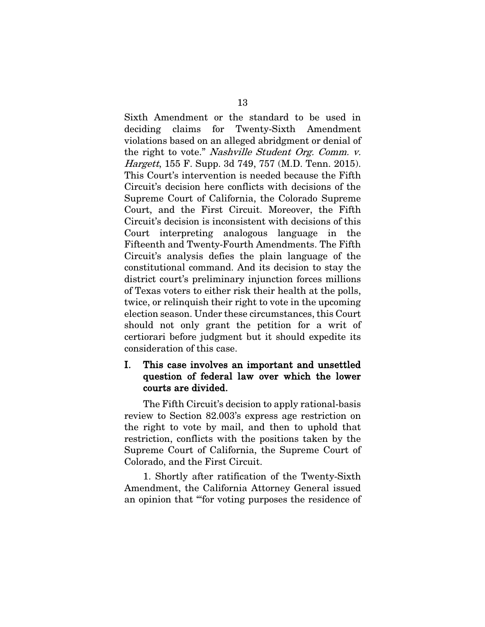Sixth Amendment or the standard to be used in deciding claims for Twenty-Sixth Amendment violations based on an alleged abridgment or denial of the right to vote." Nashville Student Org. Comm. v. Hargett, 155 F. Supp. 3d 749, 757 (M.D. Tenn. 2015). This Court's intervention is needed because the Fifth Circuit's decision here conflicts with decisions of the Supreme Court of California, the Colorado Supreme Court, and the First Circuit. Moreover, the Fifth Circuit's decision is inconsistent with decisions of this Court interpreting analogous language in the Fifteenth and Twenty-Fourth Amendments. The Fifth Circuit's analysis defies the plain language of the constitutional command. And its decision to stay the district court's preliminary injunction forces millions of Texas voters to either risk their health at the polls, twice, or relinquish their right to vote in the upcoming election season. Under these circumstances, this Court should not only grant the petition for a writ of certiorari before judgment but it should expedite its consideration of this case.

### I. This case involves an important and unsettled question of federal law over which the lower courts are divided.

The Fifth Circuit's decision to apply rational-basis review to Section 82.003's express age restriction on the right to vote by mail, and then to uphold that restriction, conflicts with the positions taken by the Supreme Court of California, the Supreme Court of Colorado, and the First Circuit.

1. Shortly after ratification of the Twenty-Sixth Amendment, the California Attorney General issued an opinion that "'for voting purposes the residence of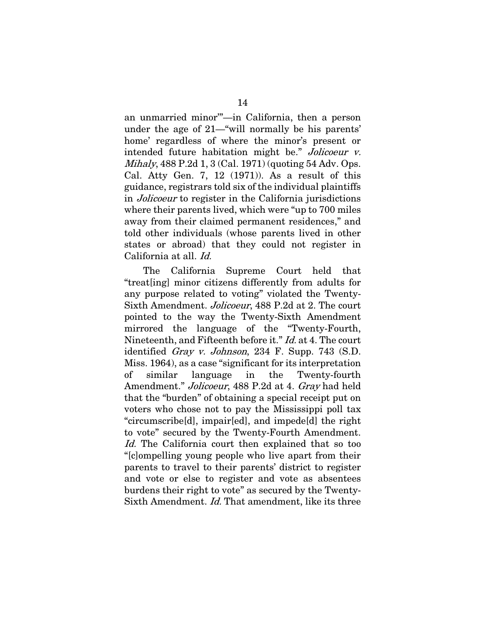an unmarried minor'"—in California, then a person under the age of 21—"will normally be his parents' home' regardless of where the minor's present or intended future habitation might be." Jolicoeur v. Mihaly, 488 P.2d 1, 3 (Cal. 1971) (quoting 54 Adv. Ops. Cal. Atty Gen. 7, 12 (1971)). As a result of this guidance, registrars told six of the individual plaintiffs in Jolicoeur to register in the California jurisdictions where their parents lived, which were "up to 700 miles away from their claimed permanent residences," and told other individuals (whose parents lived in other states or abroad) that they could not register in California at all. Id.

The California Supreme Court held that "treat[ing] minor citizens differently from adults for any purpose related to voting" violated the Twenty-Sixth Amendment. Jolicoeur, 488 P.2d at 2. The court pointed to the way the Twenty-Sixth Amendment mirrored the language of the "Twenty-Fourth, Nineteenth, and Fifteenth before it." Id. at 4. The court identified *Gray v. Johnson*, 234 F. Supp. 743 (S.D. Miss. 1964), as a case "significant for its interpretation of similar language in the Twenty-fourth Amendment." *Jolicoeur*, 488 P.2d at 4. Gray had held that the "burden" of obtaining a special receipt put on voters who chose not to pay the Mississippi poll tax "circumscribe[d], impair[ed], and impede[d] the right to vote" secured by the Twenty-Fourth Amendment. Id. The California court then explained that so too "[c]ompelling young people who live apart from their parents to travel to their parents' district to register and vote or else to register and vote as absentees burdens their right to vote" as secured by the Twenty-Sixth Amendment. *Id.* That amendment, like its three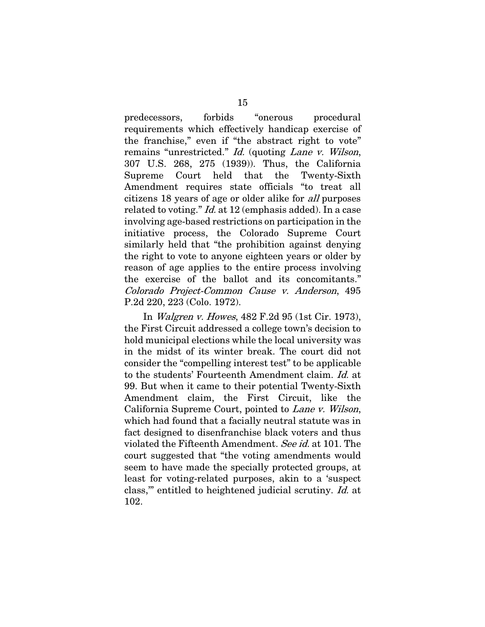predecessors, forbids "onerous procedural requirements which effectively handicap exercise of the franchise," even if "the abstract right to vote" remains "unrestricted." Id. (quoting Lane v. Wilson, 307 U.S. 268, 275 (1939)). Thus, the California Supreme Court held that the Twenty-Sixth Amendment requires state officials "to treat all citizens 18 years of age or older alike for all purposes related to voting." *Id.* at 12 (emphasis added). In a case involving age-based restrictions on participation in the initiative process, the Colorado Supreme Court similarly held that "the prohibition against denying the right to vote to anyone eighteen years or older by reason of age applies to the entire process involving the exercise of the ballot and its concomitants." Colorado Project-Common Cause v. Anderson, 495 P.2d 220, 223 (Colo. 1972).

In Walgren v. Howes, 482 F.2d 95 (1st Cir. 1973), the First Circuit addressed a college town's decision to hold municipal elections while the local university was in the midst of its winter break. The court did not consider the "compelling interest test" to be applicable to the students' Fourteenth Amendment claim. Id. at 99. But when it came to their potential Twenty-Sixth Amendment claim, the First Circuit, like the California Supreme Court, pointed to Lane v. Wilson, which had found that a facially neutral statute was in fact designed to disenfranchise black voters and thus violated the Fifteenth Amendment. See id. at 101. The court suggested that "the voting amendments would seem to have made the specially protected groups, at least for voting-related purposes, akin to a 'suspect class,'" entitled to heightened judicial scrutiny. Id. at 102.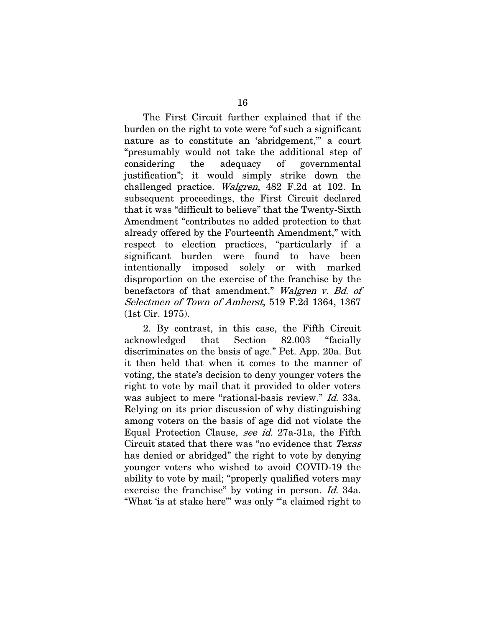The First Circuit further explained that if the burden on the right to vote were "of such a significant nature as to constitute an 'abridgement," a court "presumably would not take the additional step of considering the adequacy of governmental justification"; it would simply strike down the challenged practice. Walgren, 482 F.2d at 102. In subsequent proceedings, the First Circuit declared that it was "difficult to believe" that the Twenty-Sixth Amendment "contributes no added protection to that already offered by the Fourteenth Amendment," with respect to election practices, "particularly if a significant burden were found to have been intentionally imposed solely or with marked disproportion on the exercise of the franchise by the benefactors of that amendment." Walgren v. Bd. of Selectmen of Town of Amherst, 519 F.2d 1364, 1367 (1st Cir. 1975).

2. By contrast, in this case, the Fifth Circuit acknowledged that Section 82.003 "facially discriminates on the basis of age." Pet. App. 20a. But it then held that when it comes to the manner of voting, the state's decision to deny younger voters the right to vote by mail that it provided to older voters was subject to mere "rational-basis review." *Id.* 33a. Relying on its prior discussion of why distinguishing among voters on the basis of age did not violate the Equal Protection Clause, see id. 27a-31a, the Fifth Circuit stated that there was "no evidence that [Texas](http://www.westlaw.com/Link/Document/FullText?findType=Y&serNum=1978104041&pubNum=0000345&originatingDoc=I200bd610a6a611eabb269ba69a79554c&refType=RP&originationContext=document&vr=3.0&rs=cblt1.0&transitionType=DocumentItem&contextData=(sc.Search)) has denied or abridged" the right to vote by denying younger voters who wished to avoid COVID-19 the ability to vote by mail; "properly qualified voters may exercise the franchise" by voting in person. *Id.* 34a. "What 'is at stake here'" was only "'a claimed right to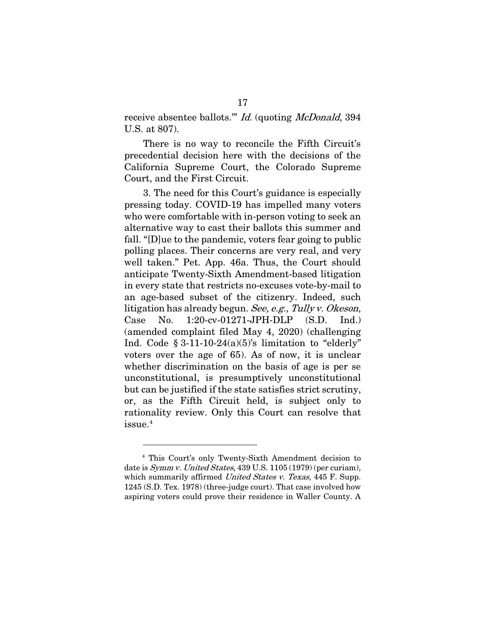receive absentee ballots."" *Id.* (quoting *McDonald*, 394 U.S. at 807).

There is no way to reconcile the Fifth Circuit's precedential decision here with the decisions of the California Supreme Court, the Colorado Supreme Court, and the First Circuit.

3. The need for this Court's guidance is especially pressing today. COVID-19 has impelled many voters who were comfortable with in-person voting to seek an alternative way to cast their ballots this summer and fall. "[D]ue to the pandemic, voters fear going to public polling places. Their concerns are very real, and very well taken." Pet. App. 46a. Thus, the Court should anticipate Twenty-Sixth Amendment-based litigation in every state that restricts no-excuses vote-by-mail to an age-based subset of the citizenry. Indeed, such litigation has already begun. See, e.g., Tully v. Okeson, Case No. 1:20-cv-01271-JPH-DLP (S.D. Ind.) (amended complaint filed May 4, 2020) (challenging Ind. Code  $\S 3-11-10-24(a)(5)$ 's limitation to "elderly" voters over the age of 65). As of now, it is unclear whether discrimination on the basis of age is per se unconstitutional, is presumptively unconstitutional but can be justified if the state satisfies strict scrutiny, or, as the Fifth Circuit held, is subject only to rationality review. Only this Court can resolve that issue.[4](#page-29-0)

<span id="page-29-0"></span><sup>4</sup> This Court's only Twenty-Sixth Amendment decision to date is Symm v. United States, 439 U.S. 1105 (1979) (per curiam), which summarily affirmed United States v. Texas, 445 F. Supp. 1245 (S.D. Tex. 1978) (three-judge court). That case involved how aspiring voters could prove their residence in Waller County. A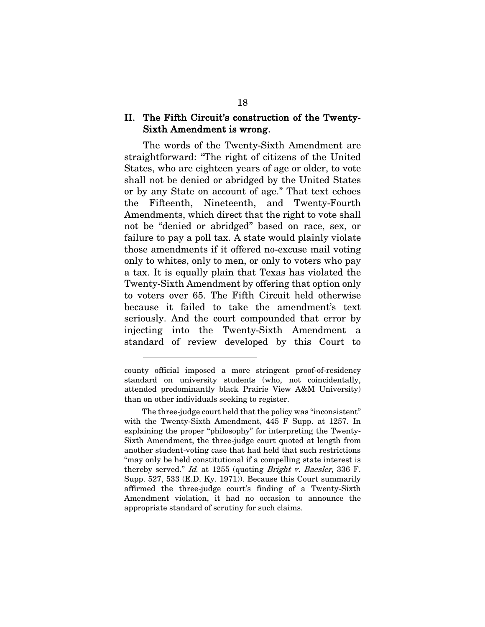### II. The Fifth Circuit's construction of the Twenty-Sixth Amendment is wrong.

The words of the Twenty-Sixth Amendment are straightforward: "The right of citizens of the United States, who are eighteen years of age or older, to vote shall not be denied or abridged by the United States or by any State on account of age." That text echoes the Fifteenth, Nineteenth, and Twenty-Fourth Amendments, which direct that the right to vote shall not be "denied or abridged" based on race, sex, or failure to pay a poll tax. A state would plainly violate those amendments if it offered no-excuse mail voting only to whites, only to men, or only to voters who pay a tax. It is equally plain that Texas has violated the Twenty-Sixth Amendment by offering that option only to voters over 65. The Fifth Circuit held otherwise because it failed to take the amendment's text seriously. And the court compounded that error by injecting into the Twenty-Sixth Amendment a standard of review developed by this Court to

county official imposed a more stringent proof-of-residency standard on university students (who, not coincidentally, attended predominantly black Prairie View A&M University) than on other individuals seeking to register.

The three-judge court held that the policy was "inconsistent" with the Twenty-Sixth Amendment, 445 F Supp. at 1257. In explaining the proper "philosophy" for interpreting the Twenty-Sixth Amendment, the three-judge court quoted at length from another student-voting case that had held that such restrictions "may only be held constitutional if a compelling state interest is thereby served." Id. at 1255 (quoting Bright v. Baesler, 336 F. Supp. 527, 533 (E.D. Ky. 1971)). Because this Court summarily affirmed the three-judge court's finding of a Twenty-Sixth Amendment violation, it had no occasion to announce the appropriate standard of scrutiny for such claims.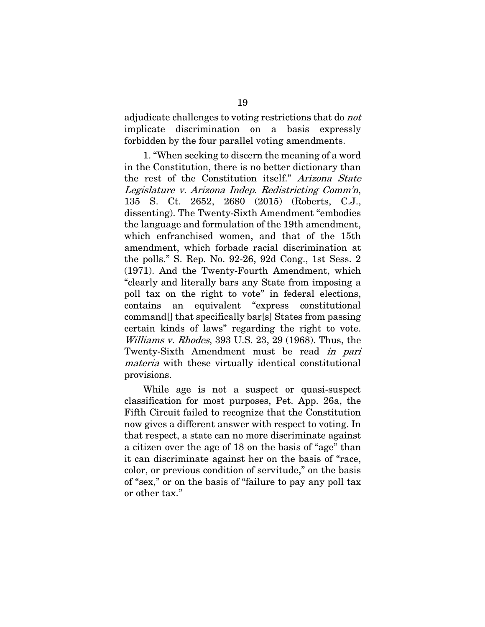adjudicate challenges to voting restrictions that do not implicate discrimination on a basis expressly forbidden by the four parallel voting amendments.

1. "When seeking to discern the meaning of a word in the Constitution, there is no better dictionary than the rest of the Constitution itself." Arizona State Legislature v. Arizona Indep. Redistricting Comm'n, 135 S. Ct. 2652, 2680 (2015) (Roberts, C.J., dissenting). The Twenty-Sixth Amendment "embodies the language and formulation of the 19th amendment, which enfranchised women, and that of the 15th amendment, which forbade racial discrimination at the polls." S. Rep. No. 92-26, 92d Cong., 1st Sess. 2 (1971). And the Twenty-Fourth Amendment, which "clearly and literally bars any State from imposing a poll tax on the right to vote" in federal elections, contains an equivalent "express constitutional command[] that specifically bar[s] States from passing certain kinds of laws" regarding the right to vote. Williams v. Rhodes, 393 U.S. 23, 29 (1968). Thus, the Twenty-Sixth Amendment must be read in pari materia with these virtually identical constitutional provisions.

While age is not a suspect or quasi-suspect classification for most purposes, Pet. App. 26a, the Fifth Circuit failed to recognize that the Constitution now gives a different answer with respect to voting. In that respect, a state can no more discriminate against a citizen over the age of 18 on the basis of "age" than it can discriminate against her on the basis of "race, color, or previous condition of servitude," on the basis of "sex," or on the basis of "failure to pay any poll tax or other tax."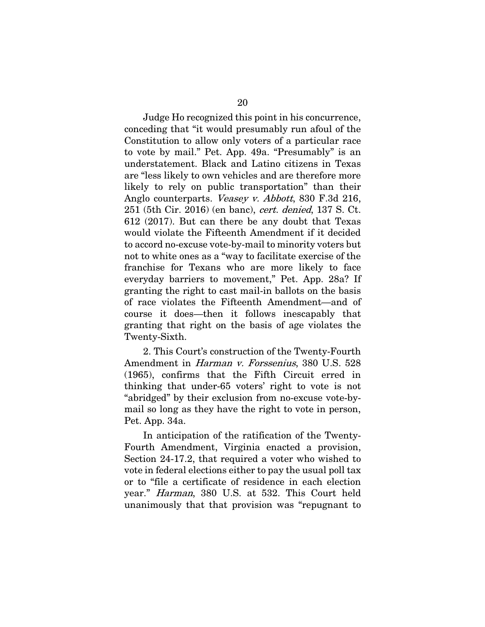Judge Ho recognized this point in his concurrence, conceding that "it would presumably run afoul of the Constitution to allow only voters of a particular race to vote by mail." Pet. App. 49a. "Presumably" is an understatement. Black and Latino citizens in Texas are "less likely to own vehicles and are therefore more likely to rely on public transportation" than their Anglo counterparts. *Veasey v. Abbott*, 830 F.3d 216, 251 (5th Cir. 2016) (en banc), cert. denied, 137 S. Ct. 612 (2017). But can there be any doubt that Texas would violate the Fifteenth Amendment if it decided to accord no-excuse vote-by-mail to minority voters but not to white ones as a "way to facilitate exercise of the franchise for Texans who are more likely to face everyday barriers to movement," Pet. App. 28a? If granting the right to cast mail-in ballots on the basis of race violates the Fifteenth Amendment—and of course it does—then it follows inescapably that granting that right on the basis of age violates the Twenty-Sixth.

2. This Court's construction of the Twenty-Fourth Amendment in Harman v. Forssenius, 380 U.S. 528 (1965), confirms that the Fifth Circuit erred in thinking that under-65 voters' right to vote is not "abridged" by their exclusion from no-excuse vote-bymail so long as they have the right to vote in person, Pet. App. 34a.

In anticipation of the ratification of the Twenty-Fourth Amendment, Virginia enacted a provision, Section 24-17.2, that required a voter who wished to vote in federal elections either to pay the usual poll tax or to "file a certificate of residence in each election year." Harman, 380 U.S. at 532. This Court held unanimously that that provision was "repugnant to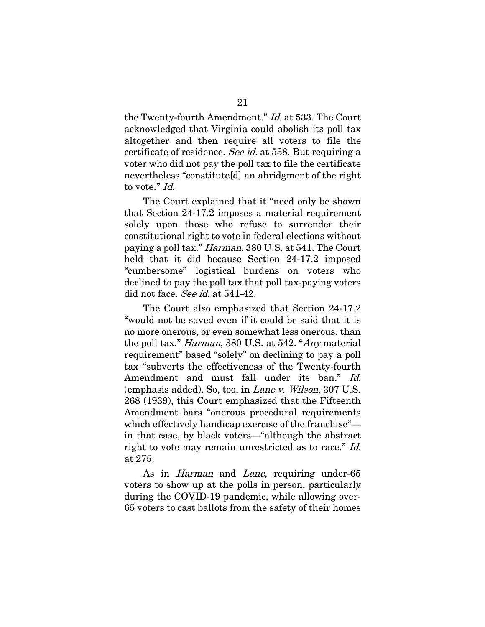the Twenty-fourth Amendment." Id. at 533. The Court acknowledged that Virginia could abolish its poll tax altogether and then require all voters to file the certificate of residence. See id. at 538. But requiring a voter who did not pay the poll tax to file the certificate nevertheless "constitute[d] an abridgment of the right to vote." Id.

The Court explained that it "need only be shown that Section 24-17.2 imposes a material requirement solely upon those who refuse to surrender their constitutional right to vote in federal elections without paying a poll tax." Harman, 380 U.S. at 541. The Court held that it did because Section 24-17.2 imposed "cumbersome" logistical burdens on voters who declined to pay the poll tax that poll tax-paying voters did not face. See id. at 541-42.

The Court also emphasized that Section 24-17.2 "would not be saved even if it could be said that it is no more onerous, or even somewhat less onerous, than the poll tax." Harman, 380 U.S. at 542. "Any material requirement" based "solely" on declining to pay a poll tax "subverts the effectiveness of the Twenty-fourth Amendment and must fall under its ban." Id. (emphasis added). So, too, in Lane v. Wilson, 307 U.S. 268 (1939), this Court emphasized that the Fifteenth Amendment bars "onerous procedural requirements which effectively handicap exercise of the franchise" in that case, by black voters—"although the abstract right to vote may remain unrestricted as to race." Id. at 275.

As in *Harman* and *Lane*, requiring under-65 voters to show up at the polls in person, particularly during the COVID-19 pandemic, while allowing over-65 voters to cast ballots from the safety of their homes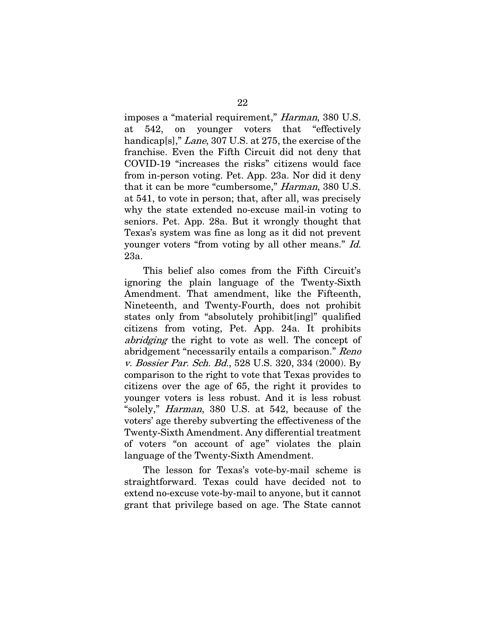imposes a "material requirement," Harman, 380 U.S. at 542, on younger voters that "effectively handicap[s]," *Lane*, 307 U.S. at 275, the exercise of the franchise. Even the Fifth Circuit did not deny that COVID-19 "increases the risks" citizens would face from in-person voting. Pet. App. 23a. Nor did it deny that it can be more "cumbersome," Harman, 380 U.S. at 541, to vote in person; that, after all, was precisely why the state extended no-excuse mail-in voting to seniors. Pet. App. 28a. But it wrongly thought that Texas's system was fine as long as it did not prevent younger voters "from voting by all other means." Id. 23a.

This belief also comes from the Fifth Circuit's ignoring the plain language of the Twenty-Sixth Amendment. That amendment, like the Fifteenth, Nineteenth, and Twenty-Fourth, does not prohibit states only from "absolutely prohibit[ing]" qualified citizens from voting, Pet. App. 24a. It prohibits abridging the right to vote as well. The concept of abridgement "necessarily entails a comparison." Reno v. Bossier Par. Sch. Bd., 528 U.S. 320, 334 (2000). By comparison to the right to vote that Texas provides to citizens over the age of 65, the right it provides to younger voters is less robust. And it is less robust "solely," Harman, 380 U.S. at 542, because of the voters' age thereby subverting the effectiveness of the Twenty-Sixth Amendment. Any differential treatment of voters "on account of age" violates the plain language of the Twenty-Sixth Amendment.

The lesson for Texas's vote-by-mail scheme is straightforward. Texas could have decided not to extend no-excuse vote-by-mail to anyone, but it cannot grant that privilege based on age. The State cannot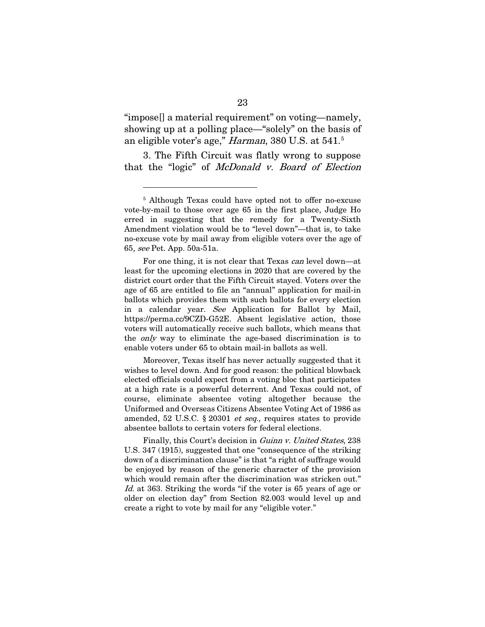"impose[] a material requirement" on voting—namely, showing up at a polling place—"solely" on the basis of an eligible voter's age," *Harman*, 380 U.S. at [5](#page-35-0)41.<sup>5</sup>

3. The Fifth Circuit was flatly wrong to suppose that the "logic" of McDonald v. Board of Election

For one thing, it is not clear that Texas can level down—at least for the upcoming elections in 2020 that are covered by the district court order that the Fifth Circuit stayed. Voters over the age of 65 are entitled to file an "annual" application for mail-in ballots which provides them with such ballots for every election in a calendar year. See Application for Ballot by Mail, https://perma.cc/9CZD-G52E. Absent legislative action, those voters will automatically receive such ballots, which means that the only way to eliminate the age-based discrimination is to enable voters under 65 to obtain mail-in ballots as well.

Moreover, Texas itself has never actually suggested that it wishes to level down. And for good reason: the political blowback elected officials could expect from a voting bloc that participates at a high rate is a powerful deterrent. And Texas could not, of course, eliminate absentee voting altogether because the Uniformed and Overseas Citizens Absentee Voting Act of 1986 as amended, 52 U.S.C. § 20301 et seq., requires states to provide absentee ballots to certain voters for federal elections.

Finally, this Court's decision in *Guinn v. United States*, 238 U.S. 347 (1915), suggested that one "consequence of the striking down of a discrimination clause" is that "a right of suffrage would be enjoyed by reason of the generic character of the provision which would remain after the discrimination was stricken out." Id. at 363. Striking the words "if the voter is 65 years of age or older on election day" from Section 82.003 would level up and create a right to vote by mail for any "eligible voter."

<span id="page-35-0"></span><sup>5</sup> Although Texas could have opted not to offer no-excuse vote-by-mail to those over age 65 in the first place, Judge Ho erred in suggesting that the remedy for a Twenty-Sixth Amendment violation would be to "level down"—that is, to take no-excuse vote by mail away from eligible voters over the age of 65, see Pet. App. 50a-51a.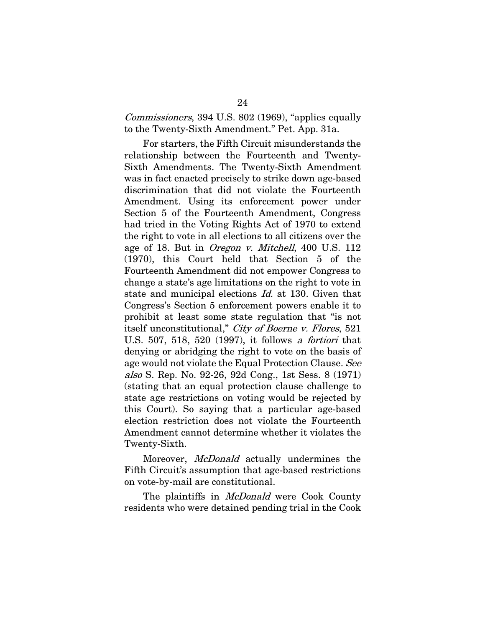Commissioners, 394 U.S. 802 (1969), "applies equally to the Twenty-Sixth Amendment." Pet. App. 31a.

For starters, the Fifth Circuit misunderstands the relationship between the Fourteenth and Twenty-Sixth Amendments. The Twenty-Sixth Amendment was in fact enacted precisely to strike down age-based discrimination that did not violate the Fourteenth Amendment. Using its enforcement power under Section 5 of the Fourteenth Amendment, Congress had tried in the Voting Rights Act of 1970 to extend the right to vote in all elections to all citizens over the age of 18. But in *Oregon v. Mitchell*, 400 U.S. 112 (1970), this Court held that Section 5 of the Fourteenth Amendment did not empower Congress to change a state's age limitations on the right to vote in state and municipal elections Id. at 130. Given that Congress's Section 5 enforcement powers enable it to prohibit at least some state regulation that "is not itself unconstitutional," City of Boerne v. Flores, 521 U.S. 507, 518, 520 (1997), it follows a fortiori that denying or abridging the right to vote on the basis of age would not violate the Equal Protection Clause. See also S. Rep. No. 92-26, 92d Cong., 1st Sess. 8 (1971) (stating that an equal protection clause challenge to state age restrictions on voting would be rejected by this Court). So saying that a particular age-based election restriction does not violate the Fourteenth Amendment cannot determine whether it violates the Twenty-Sixth.

Moreover, *McDonald* actually undermines the Fifth Circuit's assumption that age-based restrictions on vote-by-mail are constitutional.

The plaintiffs in *McDonald* were Cook County residents who were detained pending trial in the Cook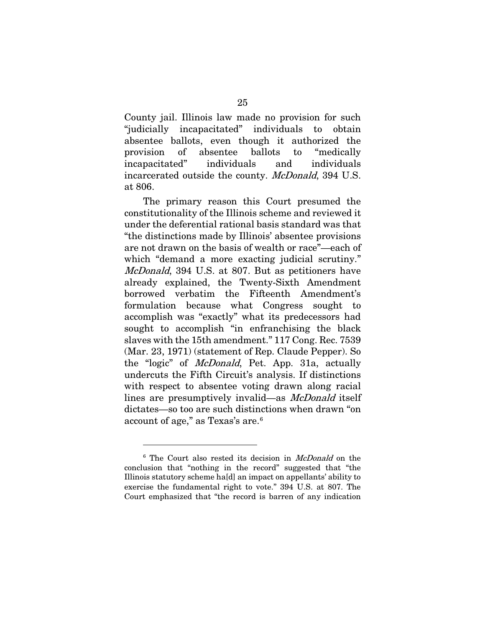County jail. Illinois law made no provision for such "judicially incapacitated" individuals to obtain absentee ballots, even though it authorized the provision of absentee ballots to "medically incapacitated" individuals and individuals incarcerated outside the county. McDonald, 394 U.S. at 806.

The primary reason this Court presumed the constitutionality of the Illinois scheme and reviewed it under the deferential rational basis standard was that "the distinctions made by Illinois' absentee provisions are not drawn on the basis of wealth or race"—each of which "demand a more exacting judicial scrutiny." McDonald, 394 U.S. at 807. But as petitioners have already explained, the Twenty-Sixth Amendment borrowed verbatim the Fifteenth Amendment's formulation because what Congress sought to accomplish was "exactly" what its predecessors had sought to accomplish "in enfranchising the black slaves with the 15th amendment." 117 Cong. Rec. 7539 (Mar. 23, 1971) (statement of Rep. Claude Pepper). So the "logic" of McDonald, Pet. App. 31a, actually undercuts the Fifth Circuit's analysis. If distinctions with respect to absentee voting drawn along racial lines are presumptively invalid—as McDonald itself dictates—so too are such distinctions when drawn "on account of age," as Texas's are.[6](#page-37-0)

<span id="page-37-0"></span><sup>&</sup>lt;sup>6</sup> The Court also rested its decision in *McDonald* on the conclusion that "nothing in the record" suggested that "the Illinois statutory scheme ha[d] an impact on appellants' ability to exercise the fundamental right to vote." 394 U.S. at 807. The Court emphasized that "the record is barren of any indication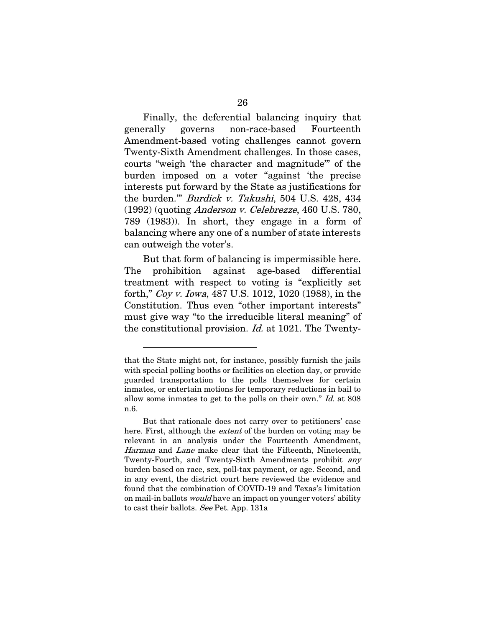Finally, the deferential balancing inquiry that generally governs non-race-based Fourteenth Amendment-based voting challenges cannot govern Twenty-Sixth Amendment challenges. In those cases, courts "weigh 'the character and magnitude'" of the burden imposed on a voter "against 'the precise interests put forward by the State as justifications for the burden."" Burdick v. Takushi, 504 U.S. 428, 434 (1992) (quoting Anderson v. Celebrezze, 460 U.S. 780, 789 (1983)). In short, they engage in a form of balancing where any one of a number of state interests can outweigh the voter's.

But that form of balancing is impermissible here. The prohibition against age-based differential treatment with respect to voting is "explicitly set forth," Coy v. Iowa, 487 U.S. 1012, 1020 (1988), in the Constitution. Thus even "other important interests" must give way "to the irreducible literal meaning" of the constitutional provision. Id. at 1021. The Twenty-

that the State might not, for instance, possibly furnish the jails with special polling booths or facilities on election day, or provide guarded transportation to the polls themselves for certain inmates, or entertain motions for temporary reductions in bail to allow some inmates to get to the polls on their own." Id. at 808 n.6.

But that rationale does not carry over to petitioners' case here. First, although the *extent* of the burden on voting may be relevant in an analysis under the Fourteenth Amendment, Harman and Lane make clear that the Fifteenth, Nineteenth, Twenty-Fourth, and Twenty-Sixth Amendments prohibit *any* burden based on race, sex, poll-tax payment, or age. Second, and in any event, the district court here reviewed the evidence and found that the combination of COVID-19 and Texas's limitation on mail-in ballots *would* have an impact on younger voters' ability to cast their ballots. See Pet. App. 131a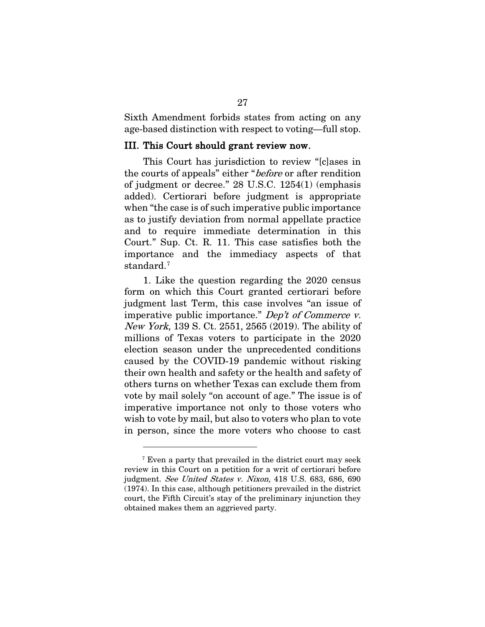Sixth Amendment forbids states from acting on any age-based distinction with respect to voting—full stop.

#### III. This Court should grant review now.

This Court has jurisdiction to review "[c]ases in the courts of appeals" either "*before* or after rendition of judgment or decree." 28 U.S.C. 1254(1) (emphasis added). Certiorari before judgment is appropriate when "the case is of such imperative public importance as to justify deviation from normal appellate practice and to require immediate determination in this Court." Sup. Ct. R. 11. This case satisfies both the importance and the immediacy aspects of that standard.<sup>[7](#page-39-0)</sup>

1. Like the question regarding the 2020 census form on which this Court granted certiorari before judgment last Term, this case involves "an issue of imperative public importance." Dep't of Commerce v. New York, 139 S. Ct. 2551, 2565 (2019). The ability of millions of Texas voters to participate in the 2020 election season under the unprecedented conditions caused by the COVID-19 pandemic without risking their own health and safety or the health and safety of others turns on whether Texas can exclude them from vote by mail solely "on account of age." The issue is of imperative importance not only to those voters who wish to vote by mail, but also to voters who plan to vote in person, since the more voters who choose to cast

<span id="page-39-0"></span><sup>7</sup> Even a party that prevailed in the district court may seek review in this Court on a petition for a writ of certiorari before judgment. See United States v. Nixon, 418 U.S. 683, 686, 690 (1974). In this case, although petitioners prevailed in the district court, the Fifth Circuit's stay of the preliminary injunction they obtained makes them an aggrieved party.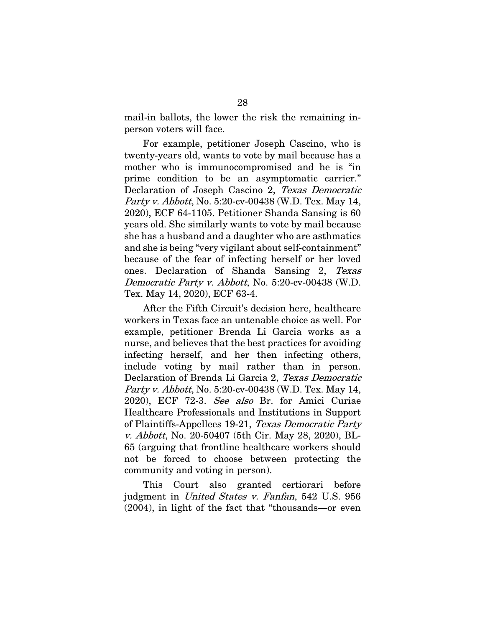mail-in ballots, the lower the risk the remaining inperson voters will face.

For example, petitioner Joseph Cascino, who is twenty-years old, wants to vote by mail because has a mother who is immunocompromised and he is "in prime condition to be an asymptomatic carrier." Declaration of Joseph Cascino 2, Texas Democratic Party v. Abbott, No. 5:20-cv-00438 (W.D. Tex. May 14, 2020), ECF 64-1105. Petitioner Shanda Sansing is 60 years old. She similarly wants to vote by mail because she has a husband and a daughter who are asthmatics and she is being "very vigilant about self-containment" because of the fear of infecting herself or her loved ones. Declaration of Shanda Sansing 2, Texas Democratic Party v. Abbott, No. 5:20-cv-00438 (W.D. Tex. May 14, 2020), ECF 63-4.

After the Fifth Circuit's decision here, healthcare workers in Texas face an untenable choice as well. For example, petitioner Brenda Li Garcia works as a nurse, and believes that the best practices for avoiding infecting herself, and her then infecting others, include voting by mail rather than in person. Declaration of Brenda Li Garcia 2, Texas Democratic Party v. Abbott, No. 5:20-cv-00438 (W.D. Tex. May 14, 2020), ECF 72-3. See also Br. for Amici Curiae Healthcare Professionals and Institutions in Support of Plaintiffs-Appellees 19-21, Texas Democratic Party v. Abbott, No. 20-50407 (5th Cir. May 28, 2020), BL-65 (arguing that frontline healthcare workers should not be forced to choose between protecting the community and voting in person).

This Court also granted certiorari before judgment in United States v. Fanfan, 542 U.S. 956 (2004), in light of the fact that "thousands—or even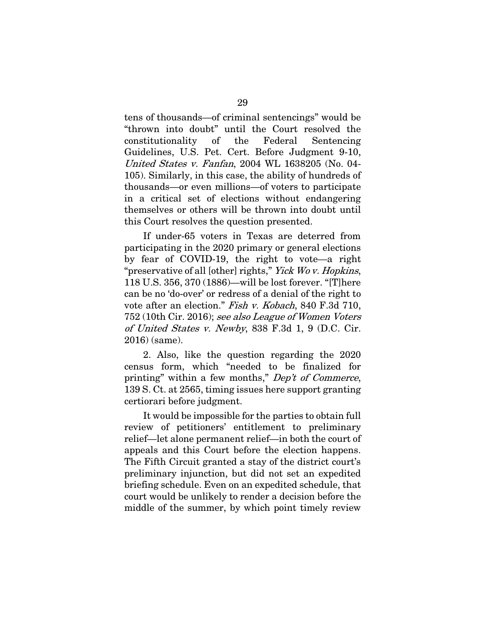tens of thousands—of criminal sentencings" would be "thrown into doubt" until the Court resolved the constitutionality of the Federal Sentencing Guidelines, U.S. Pet. Cert. Before Judgment 9-10, United States v. Fanfan, 2004 WL 1638205 (No. 04- 105). Similarly, in this case, the ability of hundreds of thousands—or even millions—of voters to participate in a critical set of elections without endangering themselves or others will be thrown into doubt until this Court resolves the question presented.

If under-65 voters in Texas are deterred from participating in the 2020 primary or general elections by fear of COVID-19, the right to vote—a right "preservative of all [other] rights," *Yick Wo v. Hopkins*, 118 U.S. 356, 370 (1886)—will be lost forever. "[T]here can be no 'do-over' or redress of a denial of the right to vote after an election." Fish v. Kobach, 840 F.3d 710, 752 (10th Cir. 2016); see also League of Women Voters of United States v. Newby, 838 F.3d 1, 9 (D.C. Cir. 2016) (same).

2. Also, like the question regarding the 2020 census form, which "needed to be finalized for printing" within a few months," Dep't of Commerce, 139 S. Ct. at 2565, timing issues here support granting certiorari before judgment.

It would be impossible for the parties to obtain full review of petitioners' entitlement to preliminary relief—let alone permanent relief—in both the court of appeals and this Court before the election happens. The Fifth Circuit granted a stay of the district court's preliminary injunction, but did not set an expedited briefing schedule. Even on an expedited schedule, that court would be unlikely to render a decision before the middle of the summer, by which point timely review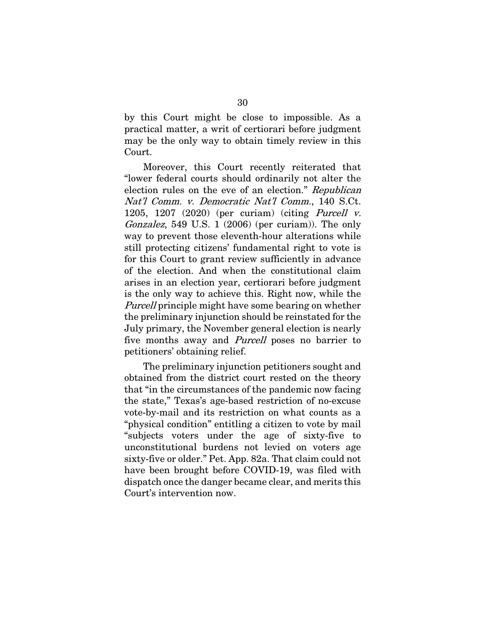by this Court might be close to impossible. As a practical matter, a writ of certiorari before judgment may be the only way to obtain timely review in this Court.

Moreover, this Court recently reiterated that "lower federal courts should ordinarily not alter the election rules on the eve of an election." Republican Nat'l Comm. v. Democratic Nat'l Comm., 140 S.Ct. 1205, 1207 (2020) (per curiam) (citing Purcell v. Gonzalez, 549 U.S. 1 (2006) (per curiam)). The only way to prevent those eleventh-hour alterations while still protecting citizens' fundamental right to vote is for this Court to grant review sufficiently in advance of the election. And when the constitutional claim arises in an election year, certiorari before judgment is the only way to achieve this. Right now, while the Purcell principle might have some bearing on whether the preliminary injunction should be reinstated for the July primary, the November general election is nearly five months away and *Purcell* poses no barrier to petitioners' obtaining relief.

The preliminary injunction petitioners sought and obtained from the district court rested on the theory that "in the circumstances of the pandemic now facing the state," Texas's age-based restriction of no-excuse vote-by-mail and its restriction on what counts as a "physical condition" entitling a citizen to vote by mail "subjects voters under the age of sixty-five to unconstitutional burdens not levied on voters age sixty-five or older." Pet. App. 82a. That claim could not have been brought before COVID-19, was filed with dispatch once the danger became clear, and merits this Court's intervention now.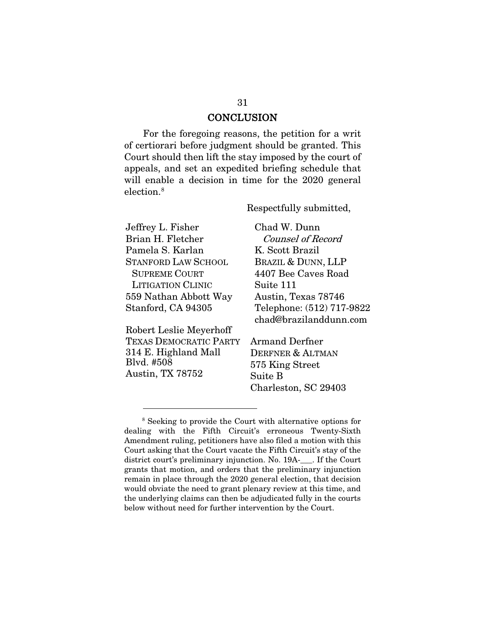### **CONCLUSION**

For the foregoing reasons, the petition for a writ of certiorari before judgment should be granted. This Court should then lift the stay imposed by the court of appeals, and set an expedited briefing schedule that will enable a decision in time for the 2020 general election. [8](#page-43-0)

Respectfully submitted,

Jeffrey L. Fisher Brian H. Fletcher Pamela S. Karlan STANFORD LAW SCHOOL SUPREME COURT LITIGATION CLINIC 559 Nathan Abbott Way Stanford, CA 94305

Robert Leslie Meyerhoff TEXAS DEMOCRATIC PARTY 314 E. Highland Mall Blvd. #508 Austin, TX 78752

Chad W. Dunn Counsel of Record K. Scott Brazil BRAZIL & DUNN, LLP 4407 Bee Caves Road Suite 111 Austin, Texas 78746 Telephone: (512) 717-9822 chad@brazilanddunn.com

Armand Derfner DERFNER & ALTMAN 575 King Street Suite B Charleston, SC 29403

<span id="page-43-0"></span><sup>8</sup> Seeking to provide the Court with alternative options for dealing with the Fifth Circuit's erroneous Twenty-Sixth Amendment ruling, petitioners have also filed a motion with this Court asking that the Court vacate the Fifth Circuit's stay of the district court's preliminary injunction. No. 19A-\_\_\_. If the Court grants that motion, and orders that the preliminary injunction remain in place through the 2020 general election, that decision would obviate the need to grant plenary review at this time, and the underlying claims can then be adjudicated fully in the courts below without need for further intervention by the Court.